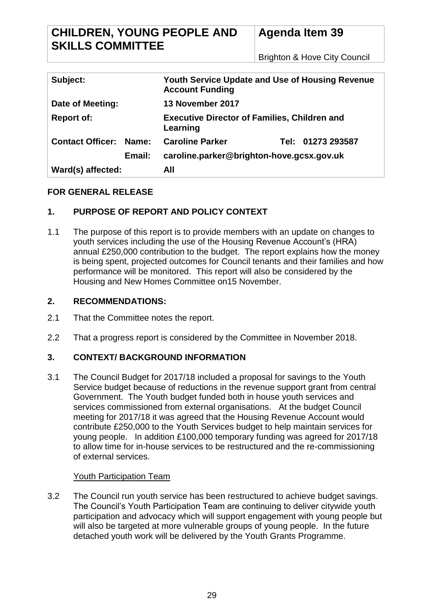#### **CHILDREN, YOUNG PEOPLE AND SKILLS COMMITTEE Agenda Item 39**

Brighton & Hove City Council

| Subject:                         | <b>Youth Service Update and Use of Housing Revenue</b><br><b>Account Funding</b> |  |
|----------------------------------|----------------------------------------------------------------------------------|--|
| Date of Meeting:                 | 13 November 2017                                                                 |  |
| <b>Report of:</b>                | <b>Executive Director of Families, Children and</b><br>Learning                  |  |
| <b>Contact Officer:</b><br>Name: | <b>Caroline Parker</b><br>Tel: 01273 293587                                      |  |
| Email:                           | caroline.parker@brighton-hove.gcsx.gov.uk                                        |  |
| Ward(s) affected:                | All                                                                              |  |

## **FOR GENERAL RELEASE**

## **1. PURPOSE OF REPORT AND POLICY CONTEXT**

1.1 The purpose of this report is to provide members with an update on changes to youth services including the use of the Housing Revenue Account's (HRA) annual £250,000 contribution to the budget. The report explains how the money is being spent, projected outcomes for Council tenants and their families and how performance will be monitored. This report will also be considered by the Housing and New Homes Committee on15 November.

### **2. RECOMMENDATIONS:**

- 2.1 That the Committee notes the report.
- 2.2 That a progress report is considered by the Committee in November 2018.

## **3. CONTEXT/ BACKGROUND INFORMATION**

3.1 The Council Budget for 2017/18 included a proposal for savings to the Youth Service budget because of reductions in the revenue support grant from central Government. The Youth budget funded both in house youth services and services commissioned from external organisations. At the budget Council meeting for 2017/18 it was agreed that the Housing Revenue Account would contribute £250,000 to the Youth Services budget to help maintain services for young people. In addition £100,000 temporary funding was agreed for 2017/18 to allow time for in-house services to be restructured and the re-commissioning of external services.

#### Youth Participation Team

3.2 The Council run youth service has been restructured to achieve budget savings. The Council's Youth Participation Team are continuing to deliver citywide youth participation and advocacy which will support engagement with young people but will also be targeted at more vulnerable groups of young people. In the future detached youth work will be delivered by the Youth Grants Programme.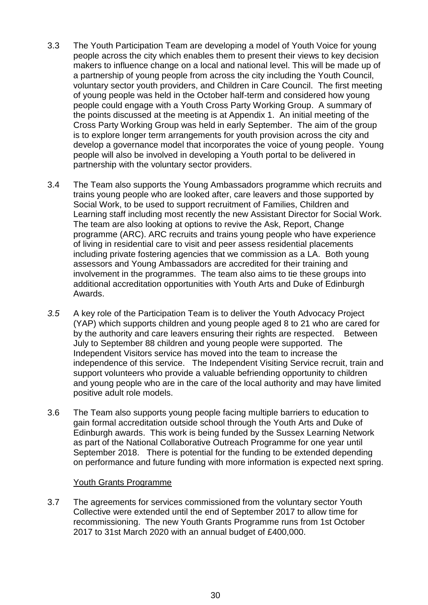- 3.3 The Youth Participation Team are developing a model of Youth Voice for young people across the city which enables them to present their views to key decision makers to influence change on a local and national level. This will be made up of a partnership of young people from across the city including the Youth Council, voluntary sector youth providers, and Children in Care Council. The first meeting of young people was held in the October half-term and considered how young people could engage with a Youth Cross Party Working Group. A summary of the points discussed at the meeting is at Appendix 1. An initial meeting of the Cross Party Working Group was held in early September. The aim of the group is to explore longer term arrangements for youth provision across the city and develop a governance model that incorporates the voice of young people. Young people will also be involved in developing a Youth portal to be delivered in partnership with the voluntary sector providers.
- 3.4 The Team also supports the Young Ambassadors programme which recruits and trains young people who are looked after, care leavers and those supported by Social Work, to be used to support recruitment of Families, Children and Learning staff including most recently the new Assistant Director for Social Work. The team are also looking at options to revive the Ask, Report, Change programme (ARC). ARC recruits and trains young people who have experience of living in residential care to visit and peer assess residential placements including private fostering agencies that we commission as a LA. Both young assessors and Young Ambassadors are accredited for their training and involvement in the programmes. The team also aims to tie these groups into additional accreditation opportunities with Youth Arts and Duke of Edinburgh Awards.
- *3.5* A key role of the Participation Team is to deliver the Youth Advocacy Project (YAP) which supports children and young people aged 8 to 21 who are cared for by the authority and care leavers ensuring their rights are respected. Between July to September 88 children and young people were supported. The Independent Visitors service has moved into the team to increase the independence of this service. The Independent Visiting Service recruit, train and support volunteers who provide a valuable befriending opportunity to children and young people who are in the care of the local authority and may have limited positive adult role models.
- 3.6 The Team also supports young people facing multiple barriers to education to gain formal accreditation outside school through the Youth Arts and Duke of Edinburgh awards. This work is being funded by the Sussex Learning Network as part of the National Collaborative Outreach Programme for one year until September 2018. There is potential for the funding to be extended depending on performance and future funding with more information is expected next spring.

#### Youth Grants Programme

3.7 The agreements for services commissioned from the voluntary sector Youth Collective were extended until the end of September 2017 to allow time for recommissioning. The new Youth Grants Programme runs from 1st October 2017 to 31st March 2020 with an annual budget of £400,000.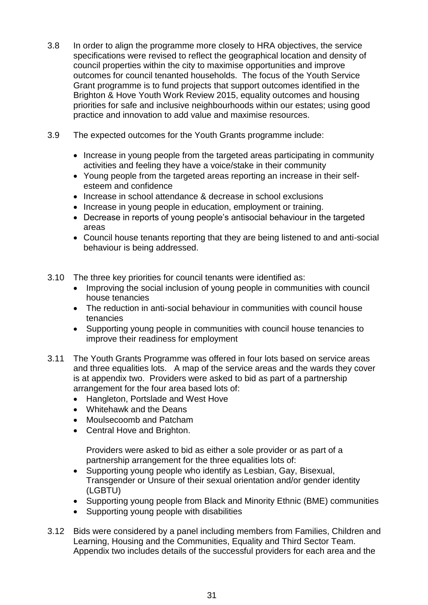- 3.8 In order to align the programme more closely to HRA objectives, the service specifications were revised to reflect the geographical location and density of council properties within the city to maximise opportunities and improve outcomes for council tenanted households. The focus of the Youth Service Grant programme is to fund projects that support outcomes identified in the Brighton & Hove Youth Work Review 2015, equality outcomes and housing priorities for safe and inclusive neighbourhoods within our estates; using good practice and innovation to add value and maximise resources.
- 3.9 The expected outcomes for the Youth Grants programme include:
	- Increase in young people from the targeted areas participating in community activities and feeling they have a voice/stake in their community
	- Young people from the targeted areas reporting an increase in their selfesteem and confidence
	- Increase in school attendance & decrease in school exclusions
	- Increase in young people in education, employment or training.
	- Decrease in reports of young people's antisocial behaviour in the targeted areas
	- Council house tenants reporting that they are being listened to and anti-social behaviour is being addressed.
- 3.10 The three key priorities for council tenants were identified as:
	- Improving the social inclusion of young people in communities with council house tenancies
	- The reduction in anti-social behaviour in communities with council house tenancies
	- Supporting young people in communities with council house tenancies to improve their readiness for employment
- 3.11 The Youth Grants Programme was offered in four lots based on service areas and three equalities lots. A map of the service areas and the wards they cover is at appendix two. Providers were asked to bid as part of a partnership arrangement for the four area based lots of:
	- Hangleton, Portslade and West Hove
	- Whitehawk and the Deans
	- Moulsecoomb and Patcham
	- Central Hove and Brighton.

Providers were asked to bid as either a sole provider or as part of a partnership arrangement for the three equalities lots of:

- Supporting young people who identify as Lesbian, Gay, Bisexual, Transgender or Unsure of their sexual orientation and/or gender identity (LGBTU)
- Supporting young people from Black and Minority Ethnic (BME) communities
- Supporting young people with disabilities
- 3.12 Bids were considered by a panel including members from Families, Children and Learning, Housing and the Communities, Equality and Third Sector Team. Appendix two includes details of the successful providers for each area and the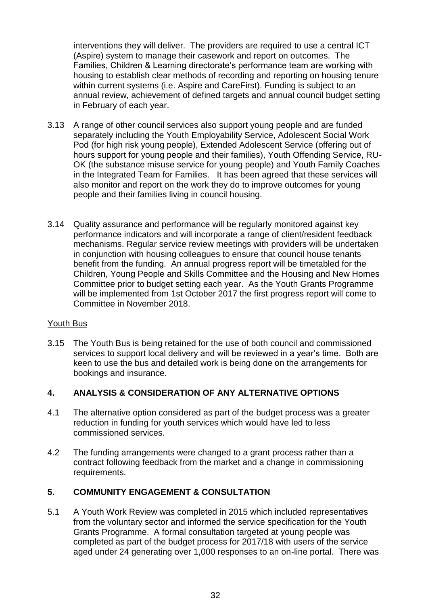interventions they will deliver. The providers are required to use a central ICT (Aspire) system to manage their casework and report on outcomes. The Families, Children & Learning directorate's performance team are working with housing to establish clear methods of recording and reporting on housing tenure within current systems (i.e. Aspire and CareFirst). Funding is subject to an annual review, achievement of defined targets and annual council budget setting in February of each year.

- 3.13 A range of other council services also support young people and are funded separately including the Youth Employability Service, Adolescent Social Work Pod (for high risk young people), Extended Adolescent Service (offering out of hours support for young people and their families), Youth Offending Service, RU-OK (the substance misuse service for young people) and Youth Family Coaches in the Integrated Team for Families. It has been agreed that these services will also monitor and report on the work they do to improve outcomes for young people and their families living in council housing.
- 3.14 Quality assurance and performance will be regularly monitored against key performance indicators and will incorporate a range of client/resident feedback mechanisms. Regular service review meetings with providers will be undertaken in conjunction with housing colleagues to ensure that council house tenants benefit from the funding. An annual progress report will be timetabled for the Children, Young People and Skills Committee and the Housing and New Homes Committee prior to budget setting each year. As the Youth Grants Programme will be implemented from 1st October 2017 the first progress report will come to Committee in November 2018.

#### Youth Bus

3.15 The Youth Bus is being retained for the use of both council and commissioned services to support local delivery and will be reviewed in a year's time. Both are keen to use the bus and detailed work is being done on the arrangements for bookings and insurance.

## **4. ANALYSIS & CONSIDERATION OF ANY ALTERNATIVE OPTIONS**

- 4.1 The alternative option considered as part of the budget process was a greater reduction in funding for youth services which would have led to less commissioned services.
- 4.2 The funding arrangements were changed to a grant process rather than a contract following feedback from the market and a change in commissioning requirements.

#### **5. COMMUNITY ENGAGEMENT & CONSULTATION**

5.1 A Youth Work Review was completed in 2015 which included representatives from the voluntary sector and informed the service specification for the Youth Grants Programme. A formal consultation targeted at young people was completed as part of the budget process for 2017/18 with users of the service aged under 24 generating over 1,000 responses to an on-line portal. There was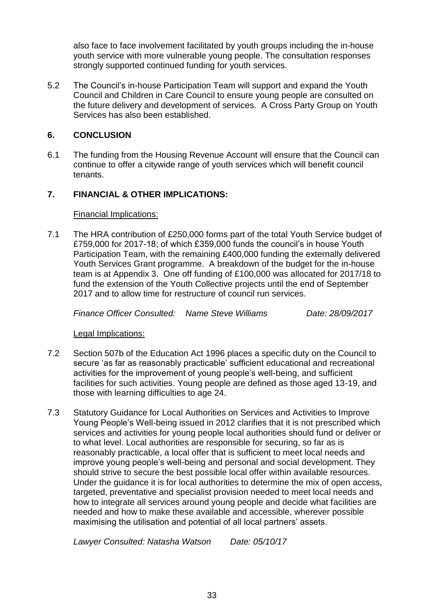also face to face involvement facilitated by youth groups including the in-house youth service with more vulnerable young people. The consultation responses strongly supported continued funding for youth services.

5.2 The Council's in-house Participation Team will support and expand the Youth Council and Children in Care Council to ensure young people are consulted on the future delivery and development of services. A Cross Party Group on Youth Services has also been established.

## **6. CONCLUSION**

6.1 The funding from the Housing Revenue Account will ensure that the Council can continue to offer a citywide range of youth services which will benefit council tenants.

## **7. FINANCIAL & OTHER IMPLICATIONS:**

#### Financial Implications:

7.1 The HRA contribution of £250,000 forms part of the total Youth Service budget of £759,000 for 2017-18; of which £359,000 funds the council's in house Youth Participation Team, with the remaining £400,000 funding the externally delivered Youth Services Grant programme. A breakdown of the budget for the in-house team is at Appendix 3. One off funding of £100,000 was allocated for 2017/18 to fund the extension of the Youth Collective projects until the end of September 2017 and to allow time for restructure of council run services.

*Finance Officer Consulted: Name Steve Williams Date: 28/09/2017*

Legal Implications:

- 7.2 Section 507b of the Education Act 1996 places a specific duty on the Council to secure 'as far as reasonably practicable' sufficient educational and recreational activities for the improvement of young people's well-being, and sufficient facilities for such activities. Young people are defined as those aged 13-19, and those with learning difficulties to age 24.
- 7.3 Statutory Guidance for Local Authorities on Services and Activities to Improve Young People's Well-being issued in 2012 clarifies that it is not prescribed which services and activities for young people local authorities should fund or deliver or to what level. Local authorities are responsible for securing, so far as is reasonably practicable, a local offer that is sufficient to meet local needs and improve young people's well-being and personal and social development. They should strive to secure the best possible local offer within available resources. Under the guidance it is for local authorities to determine the mix of open access, targeted, preventative and specialist provision needed to meet local needs and how to integrate all services around young people and decide what facilities are needed and how to make these available and accessible, wherever possible maximising the utilisation and potential of all local partners' assets.

*Lawyer Consulted: Natasha Watson Date: 05/10/17*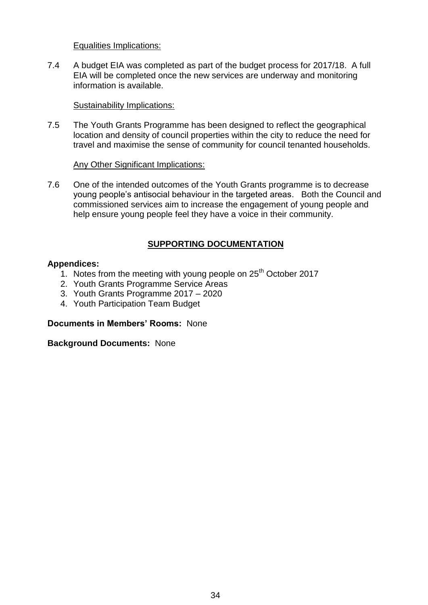Equalities Implications:

7.4 A budget EIA was completed as part of the budget process for 2017/18. A full EIA will be completed once the new services are underway and monitoring information is available.

#### Sustainability Implications:

7.5 The Youth Grants Programme has been designed to reflect the geographical location and density of council properties within the city to reduce the need for travel and maximise the sense of community for council tenanted households.

#### Any Other Significant Implications:

7.6 One of the intended outcomes of the Youth Grants programme is to decrease young people's antisocial behaviour in the targeted areas. Both the Council and commissioned services aim to increase the engagement of young people and help ensure young people feel they have a voice in their community.

### **SUPPORTING DOCUMENTATION**

#### **Appendices:**

- 1. Notes from the meeting with young people on  $25<sup>th</sup>$  October 2017
- 2. Youth Grants Programme Service Areas
- 3. Youth Grants Programme 2017 2020
- 4. Youth Participation Team Budget

**Documents in Members' Rooms:** None

**Background Documents:** None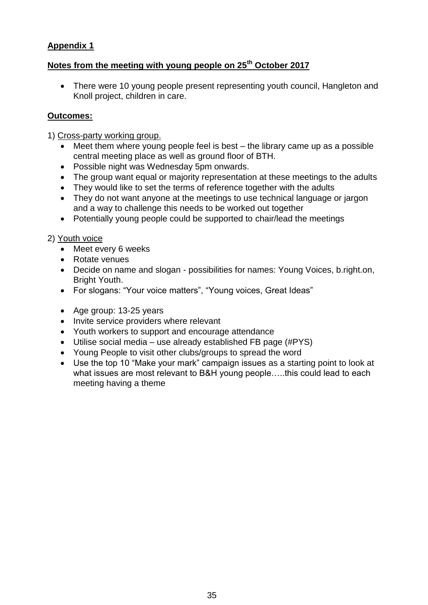## **Appendix 1**

## **Notes from the meeting with young people on 25th October 2017**

• There were 10 young people present representing youth council, Hangleton and Knoll project, children in care.

## **Outcomes:**

- 1) Cross-party working group.
	- Meet them where young people feel is best the library came up as a possible central meeting place as well as ground floor of BTH.
	- Possible night was Wednesday 5pm onwards.
	- The group want equal or majority representation at these meetings to the adults
	- They would like to set the terms of reference together with the adults
	- They do not want anyone at the meetings to use technical language or jargon and a way to challenge this needs to be worked out together
	- Potentially young people could be supported to chair/lead the meetings

## 2) Youth voice

- Meet every 6 weeks
- Rotate venues
- Decide on name and slogan possibilities for names: Young Voices, b.right.on, Bright Youth.
- For slogans: "Your voice matters", "Young voices, Great Ideas"
- Age group: 13-25 years
- Invite service providers where relevant
- Youth workers to support and encourage attendance
- Utilise social media use already established FB page (#PYS)
- Young People to visit other clubs/groups to spread the word
- Use the top 10 "Make your mark" campaign issues as a starting point to look at what issues are most relevant to B&H young people…..this could lead to each meeting having a theme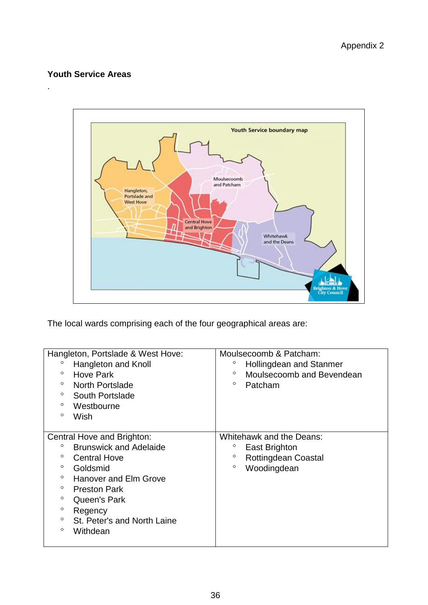## **Youth Service Areas**

.



The local wards comprising each of the four geographical areas are:

| Hangleton, Portslade & West Hove:       | Moulsecoomb & Patcham:               |
|-----------------------------------------|--------------------------------------|
| o<br>Hangleton and Knoll                | Hollingdean and Stanmer<br>$\circ$   |
| $\circ$<br>Hove Park                    | $\circ$<br>Moulsecoomb and Bevendean |
| <b>North Portslade</b><br>$\circ$       | $\circ$<br>Patcham                   |
| South Portslade<br>O                    |                                      |
| $\circ$<br>Westbourne                   |                                      |
| Wish<br>$\circ$                         |                                      |
|                                         |                                      |
| Central Hove and Brighton:              | Whitehawk and the Deans:             |
| <b>Brunswick and Adelaide</b><br>O      | $\circ$<br>East Brighton             |
| O<br><b>Central Hove</b>                | $\circ$<br>Rottingdean Coastal       |
| O<br>Goldsmid                           | $\circ$<br>Woodingdean               |
| <b>Hanover and Elm Grove</b><br>$\circ$ |                                      |
| O<br><b>Preston Park</b>                |                                      |
| o<br>Queen's Park                       |                                      |
| o<br>Regency                            |                                      |
| St. Peter's and North Laine<br>O        |                                      |
| $\circ$<br>Withdean                     |                                      |
|                                         |                                      |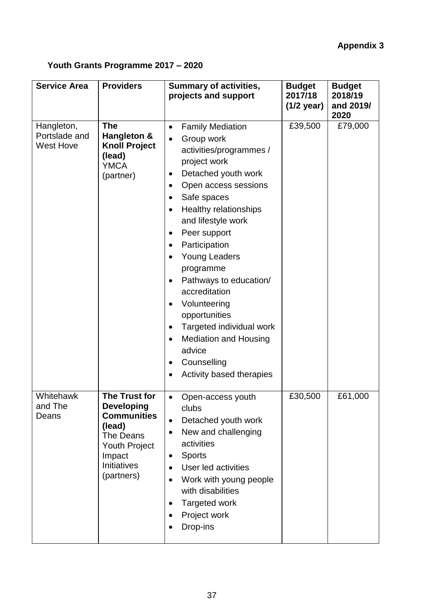# **Appendix 3**

## **Youth Grants Programme 2017 – 2020**

| <b>Service Area</b>                             | <b>Providers</b>                                                                                                                               | <b>Summary of activities,</b><br>projects and support                                                                                                                                                                                                                                                                                                                                                                                                                                                                                                                                                  | <b>Budget</b><br>2017/18<br>$(1/2 \text{ year})$ | <b>Budget</b><br>2018/19<br>and 2019/<br>2020 |
|-------------------------------------------------|------------------------------------------------------------------------------------------------------------------------------------------------|--------------------------------------------------------------------------------------------------------------------------------------------------------------------------------------------------------------------------------------------------------------------------------------------------------------------------------------------------------------------------------------------------------------------------------------------------------------------------------------------------------------------------------------------------------------------------------------------------------|--------------------------------------------------|-----------------------------------------------|
| Hangleton,<br>Portslade and<br><b>West Hove</b> | <b>The</b><br>Hangleton &<br><b>Knoll Project</b><br>(lead)<br><b>YMCA</b><br>(partner)                                                        | <b>Family Mediation</b><br>$\bullet$<br>Group work<br>activities/programmes /<br>project work<br>Detached youth work<br>٠<br>Open access sessions<br>$\bullet$<br>Safe spaces<br>$\bullet$<br><b>Healthy relationships</b><br>$\bullet$<br>and lifestyle work<br>Peer support<br>٠<br>Participation<br>$\bullet$<br><b>Young Leaders</b><br>programme<br>Pathways to education/<br>accreditation<br>Volunteering<br>opportunities<br>Targeted individual work<br>$\bullet$<br><b>Mediation and Housing</b><br>$\bullet$<br>advice<br>Counselling<br>$\bullet$<br>Activity based therapies<br>$\bullet$ | £39,500                                          | £79,000                                       |
| Whitehawk<br>and The<br>Deans                   | The Trust for<br><b>Developing</b><br><b>Communities</b><br>(lead)<br>The Deans<br><b>Youth Project</b><br>Impact<br>Initiatives<br>(partners) | Open-access youth<br>clubs<br>Detached youth work<br>New and challenging<br>activities<br><b>Sports</b><br>$\bullet$<br>User led activities<br>Work with young people<br>with disabilities<br><b>Targeted work</b><br>Project work<br>Drop-ins                                                                                                                                                                                                                                                                                                                                                         | £30,500                                          | £61,000                                       |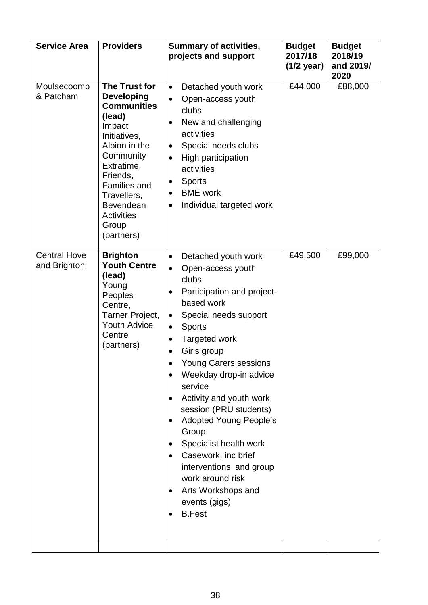| <b>Service Area</b>                 | <b>Providers</b>                                                                                                                                                                                                                                           | <b>Summary of activities,</b><br>projects and support                                                                                                                                                                                                                                                                                                                                                                                                                                                                                                      | <b>Budget</b><br>2017/18<br>$(1/2 \text{ year})$ | <b>Budget</b><br>2018/19<br>and 2019/<br>2020 |
|-------------------------------------|------------------------------------------------------------------------------------------------------------------------------------------------------------------------------------------------------------------------------------------------------------|------------------------------------------------------------------------------------------------------------------------------------------------------------------------------------------------------------------------------------------------------------------------------------------------------------------------------------------------------------------------------------------------------------------------------------------------------------------------------------------------------------------------------------------------------------|--------------------------------------------------|-----------------------------------------------|
| Moulsecoomb<br>& Patcham            | <b>The Trust for</b><br><b>Developing</b><br><b>Communities</b><br>(lead)<br>Impact<br>Initiatives,<br>Albion in the<br>Community<br>Extratime,<br>Friends,<br><b>Families and</b><br>Travellers,<br>Bevendean<br><b>Activities</b><br>Group<br>(partners) | Detached youth work<br>$\bullet$<br>Open-access youth<br>clubs<br>New and challenging<br>$\bullet$<br>activities<br>Special needs clubs<br>$\bullet$<br>High participation<br>$\bullet$<br>activities<br><b>Sports</b><br>٠<br><b>BME</b> work<br>Individual targeted work<br>$\bullet$                                                                                                                                                                                                                                                                    | £44,000                                          | £88,000                                       |
| <b>Central Hove</b><br>and Brighton | <b>Brighton</b><br><b>Youth Centre</b><br>(lead)<br>Young<br>Peoples<br>Centre,<br>Tarner Project,<br><b>Youth Advice</b><br>Centre<br>(partners)                                                                                                          | Detached youth work<br>$\bullet$<br>Open-access youth<br>$\bullet$<br>clubs<br>Participation and project-<br>٠<br>based work<br>Special needs support<br>$\bullet$<br><b>Sports</b><br>Targeted work<br>Girls group<br>$\bullet$<br>Young Carers sessions<br>Weekday drop-in advice<br>service<br>Activity and youth work<br>٠<br>session (PRU students)<br><b>Adopted Young People's</b><br>Group<br>Specialist health work<br>Casework, inc brief<br>interventions and group<br>work around risk<br>Arts Workshops and<br>events (gigs)<br><b>B.Fest</b> | £49,500                                          | £99,000                                       |
|                                     |                                                                                                                                                                                                                                                            |                                                                                                                                                                                                                                                                                                                                                                                                                                                                                                                                                            |                                                  |                                               |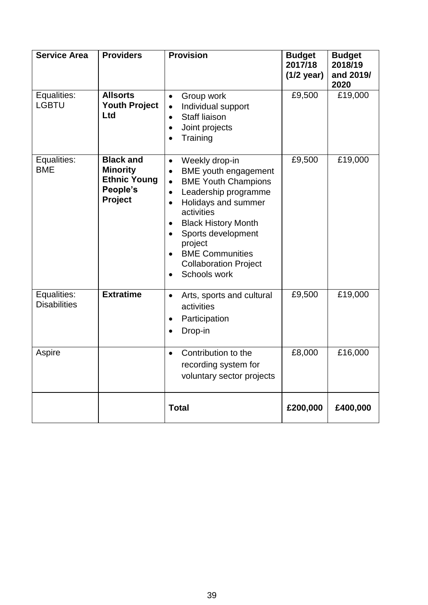| <b>Service Area</b>                | <b>Providers</b>                                                                  | <b>Provision</b>                                                                                                                                                                                                                                                                                                                                                | <b>Budget</b><br>2017/18<br>$(1/2)$ year) | <b>Budget</b><br>2018/19<br>and 2019/<br>2020 |
|------------------------------------|-----------------------------------------------------------------------------------|-----------------------------------------------------------------------------------------------------------------------------------------------------------------------------------------------------------------------------------------------------------------------------------------------------------------------------------------------------------------|-------------------------------------------|-----------------------------------------------|
| Equalities:<br><b>LGBTU</b>        | <b>Allsorts</b><br><b>Youth Project</b><br>Ltd                                    | Group work<br>$\bullet$<br>Individual support<br>$\bullet$<br>Staff liaison<br>$\bullet$<br>Joint projects<br>$\bullet$<br>Training                                                                                                                                                                                                                             | £9,500                                    | £19,000                                       |
| Equalities:<br><b>BME</b>          | <b>Black and</b><br><b>Minority</b><br><b>Ethnic Young</b><br>People's<br>Project | Weekly drop-in<br>$\bullet$<br><b>BME</b> youth engagement<br>$\bullet$<br><b>BME Youth Champions</b><br>$\bullet$<br>Leadership programme<br>$\bullet$<br>Holidays and summer<br>$\bullet$<br>activities<br><b>Black History Month</b><br>Sports development<br>project<br><b>BME Communities</b><br><b>Collaboration Project</b><br>Schools work<br>$\bullet$ | £9,500                                    | £19,000                                       |
| Equalities:<br><b>Disabilities</b> | <b>Extratime</b>                                                                  | Arts, sports and cultural<br>$\bullet$<br>activities<br>Participation<br>٠<br>Drop-in<br>$\bullet$                                                                                                                                                                                                                                                              | £9,500                                    | £19,000                                       |
| Aspire                             |                                                                                   | Contribution to the<br>$\bullet$<br>recording system for<br>voluntary sector projects                                                                                                                                                                                                                                                                           | £8,000                                    | £16,000                                       |
|                                    |                                                                                   | <b>Total</b>                                                                                                                                                                                                                                                                                                                                                    | £200,000                                  | £400,000                                      |